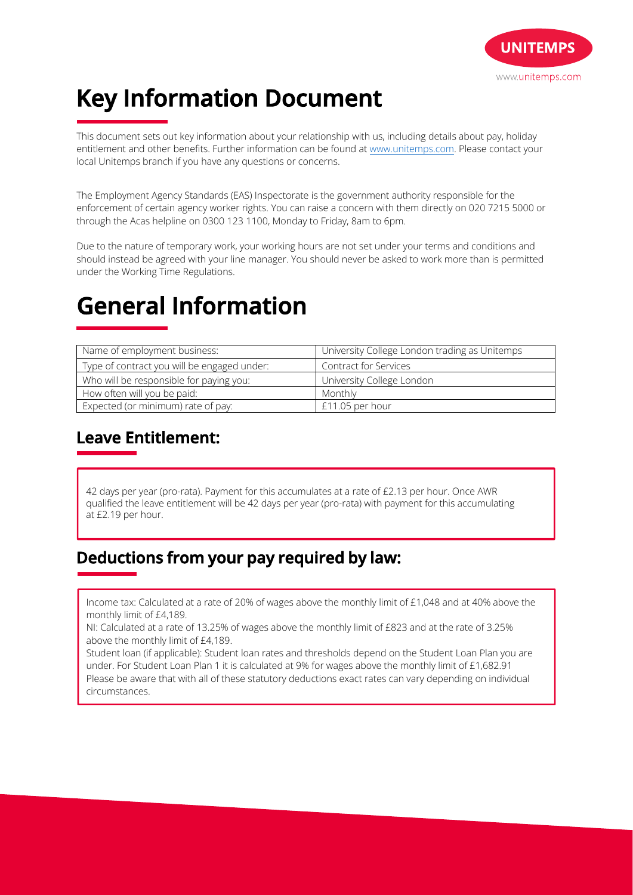

# **Key Information Document**

This document sets out key information about your relationship with us, including details about pay, holiday entitlement and other benefits. Further information can be found at www.unitemps.com. Please contact your local Unitemps branch if you have any questions or concerns.

The Employment Agency Standards (EAS) Inspectorate is the government authority responsible for the enforcement of certain agency worker rights. You can raise a concern with them directly on 020 7215 5000 or through the Acas helpline on 0300 123 1100, Monday to Friday, 8am to 6pm.

Due to the nature of temporary work, your working hours are not set under your terms and conditions and should instead be agreed with your line manager. You should never be asked to work more than is permitted under the Working Time Regulations.

## **General Information**

| Name of employment business:                | University College London trading as Unitemps |
|---------------------------------------------|-----------------------------------------------|
| Type of contract you will be engaged under: | <b>Contract for Services</b>                  |
| Who will be responsible for paying you:     | University College London                     |
| How often will you be paid:                 | Monthly                                       |
| Expected (or minimum) rate of pay:          | £11.05 per hour                               |

### **Leave Entitlement:**

42 days per year (pro-rata). Payment for this accumulates at a rate of £2.13 per hour. Once AWR qualified the leave entitlement will be 42 days per year (pro-rata) with payment for this accumulating at £2.19 per hour.

#### **Deductions from your pay required by law:**

Income tax: Calculated at a rate of 20% of wages above the monthly limit of £1,048 and at 40% above the monthly limit of £4,189.

NI: Calculated at a rate of 13.25% of wages above the monthly limit of £823 and at the rate of 3.25% above the monthly limit of £4,189.

Student loan (if applicable): Student loan rates and thresholds depend on the Student Loan Plan you are under. For Student Loan Plan 1 it is calculated at 9% for wages above the monthly limit of £1,682.91 Please be aware that with all of these statutory deductions exact rates can vary depending on individual circumstances.